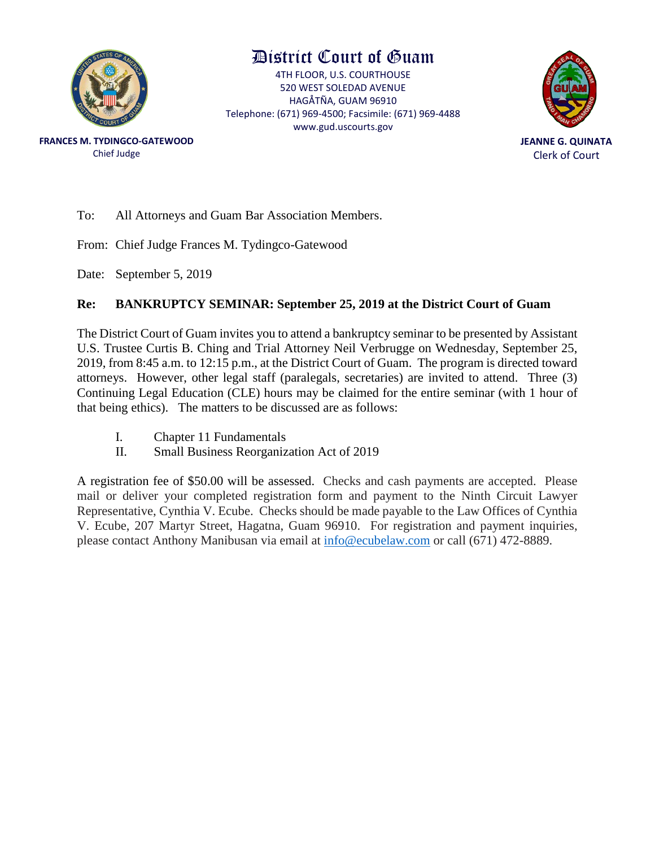

### District Court of Guam

4TH FLOOR, U.S. COURTHOUSE 520 WEST SOLEDAD AVENUE HAGÅTÑA, GUAM 96910 Telephone: (671) 969-4500; Facsimile: (671) 969-4488 www.gud.uscourts.gov



**FRANCES M. TYDINGCO-GATEWOOD** Chief Judge

To: All Attorneys and Guam Bar Association Members.

From: Chief Judge Frances M. Tydingco-Gatewood

Date: September 5, 2019

#### **Re: BANKRUPTCY SEMINAR: September 25, 2019 at the District Court of Guam**

The District Court of Guam invites you to attend a bankruptcy seminar to be presented by Assistant U.S. Trustee Curtis B. Ching and Trial Attorney Neil Verbrugge on Wednesday, September 25, 2019, from 8:45 a.m. to 12:15 p.m., at the District Court of Guam. The program is directed toward attorneys. However, other legal staff (paralegals, secretaries) are invited to attend. Three (3) Continuing Legal Education (CLE) hours may be claimed for the entire seminar (with 1 hour of that being ethics). The matters to be discussed are as follows:

- I. Chapter 11 Fundamentals
- II. Small Business Reorganization Act of 2019

A registration fee of \$50.00 will be assessed. Checks and cash payments are accepted. Please mail or deliver your completed registration form and payment to the Ninth Circuit Lawyer Representative, Cynthia V. Ecube. Checks should be made payable to the Law Offices of Cynthia V. Ecube, 207 Martyr Street, Hagatna, Guam 96910. For registration and payment inquiries, please contact Anthony Manibusan via email at [info@ecubelaw.com](mailto:info@ecubelaw.com) or call (671) 472-8889.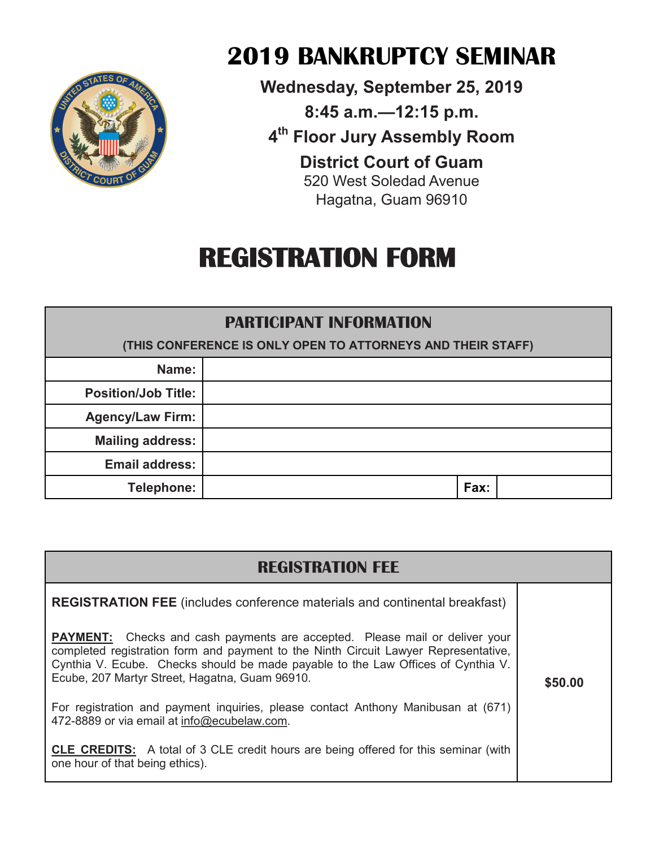

## **2019 BANKRUPTCY SEMINAR**

**Wednesday, September 25, 2019 8:45 a.m.—12:15 p.m. 4th Floor Jury Assembly Room District Court of Guam** 520 West Soledad Avenue Hagatna, Guam 96910

# **REGISTRATION FORM**

#### **PARTICIPANT INFORMATION**

| (THIS CONFERENCE IS ONLY OPEN TO ATTORNEYS AND THEIR STAFF) |  |      |  |
|-------------------------------------------------------------|--|------|--|
| Name:                                                       |  |      |  |
| <b>Position/Job Title:</b>                                  |  |      |  |
| <b>Agency/Law Firm:</b>                                     |  |      |  |
| <b>Mailing address:</b>                                     |  |      |  |
| <b>Email address:</b>                                       |  |      |  |
| Telephone:                                                  |  | Fax: |  |

| <b>REGISTRATION FEE</b>                                                                                                                                                                                                                                                                                         |         |  |  |
|-----------------------------------------------------------------------------------------------------------------------------------------------------------------------------------------------------------------------------------------------------------------------------------------------------------------|---------|--|--|
| <b>REGISTRATION FEE</b> (includes conference materials and continental breakfast)                                                                                                                                                                                                                               |         |  |  |
| <b>PAYMENT:</b> Checks and cash payments are accepted. Please mail or deliver your<br>completed registration form and payment to the Ninth Circuit Lawyer Representative,<br>Cynthia V. Ecube. Checks should be made payable to the Law Offices of Cynthia V.<br>Ecube, 207 Martyr Street, Hagatna, Guam 96910. | \$50.00 |  |  |
| For registration and payment inquiries, please contact Anthony Manibusan at (671)<br>472-8889 or via email at info@ecubelaw.com.                                                                                                                                                                                |         |  |  |
| <b>CLE CREDITS:</b> A total of 3 CLE credit hours are being offered for this seminar (with<br>one hour of that being ethics).                                                                                                                                                                                   |         |  |  |